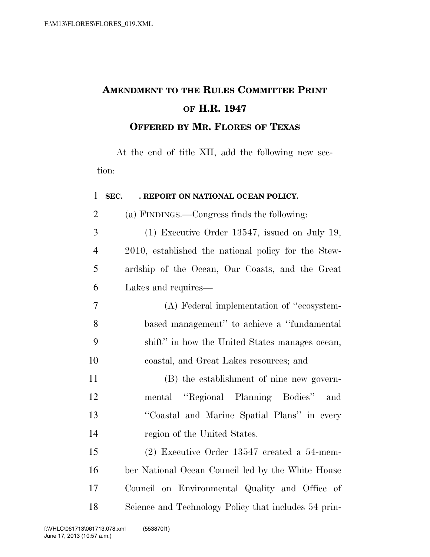## **AMENDMENT TO THE RULES COMMITTEE PRINT OF H.R. 1947 OFFERED BY MR. FLORES OF TEXAS**

At the end of title XII, add the following new section:

| $\mathbf{1}$   | SEC. REPORT ON NATIONAL OCEAN POLICY.                |
|----------------|------------------------------------------------------|
| $\overline{2}$ | (a) FINDINGS.—Congress finds the following:          |
| 3              | $(1)$ Executive Order 13547, issued on July 19,      |
| $\overline{4}$ | 2010, established the national policy for the Stew-  |
| 5              | ardship of the Ocean, Our Coasts, and the Great      |
| 6              | Lakes and requires—                                  |
| $\overline{7}$ | (A) Federal implementation of "ecosystem-            |
| 8              | based management" to achieve a "fundamental"         |
| 9              | shift" in how the United States manages ocean,       |
| 10             | coastal, and Great Lakes resources; and              |
| 11             | (B) the establishment of nine new govern-            |
| 12             | mental "Regional Planning Bodies"<br>and             |
| 13             | "Coastal and Marine Spatial Plans" in every          |
| 14             | region of the United States.                         |
| 15             | $(2)$ Executive Order 13547 created a 54-mem-        |
| 16             | ber National Ocean Council led by the White House    |
| 17             | Council on Environmental Quality and Office of       |
| 18             | Science and Technology Policy that includes 54 prin- |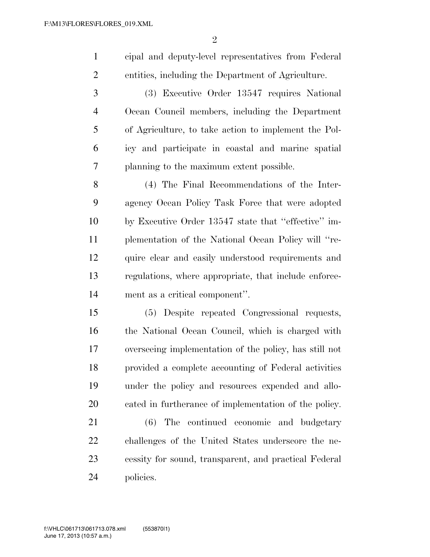cipal and deputy-level representatives from Federal entities, including the Department of Agriculture.

 (3) Executive Order 13547 requires National Ocean Council members, including the Department of Agriculture, to take action to implement the Pol- icy and participate in coastal and marine spatial planning to the maximum extent possible.

 (4) The Final Recommendations of the Inter- agency Ocean Policy Task Force that were adopted by Executive Order 13547 state that ''effective'' im- plementation of the National Ocean Policy will ''re-12 quire clear and easily understood requirements and regulations, where appropriate, that include enforce-ment as a critical component''.

 (5) Despite repeated Congressional requests, the National Ocean Council, which is charged with overseeing implementation of the policy, has still not provided a complete accounting of Federal activities under the policy and resources expended and allo-cated in furtherance of implementation of the policy.

 (6) The continued economic and budgetary challenges of the United States underscore the ne- cessity for sound, transparent, and practical Federal policies.